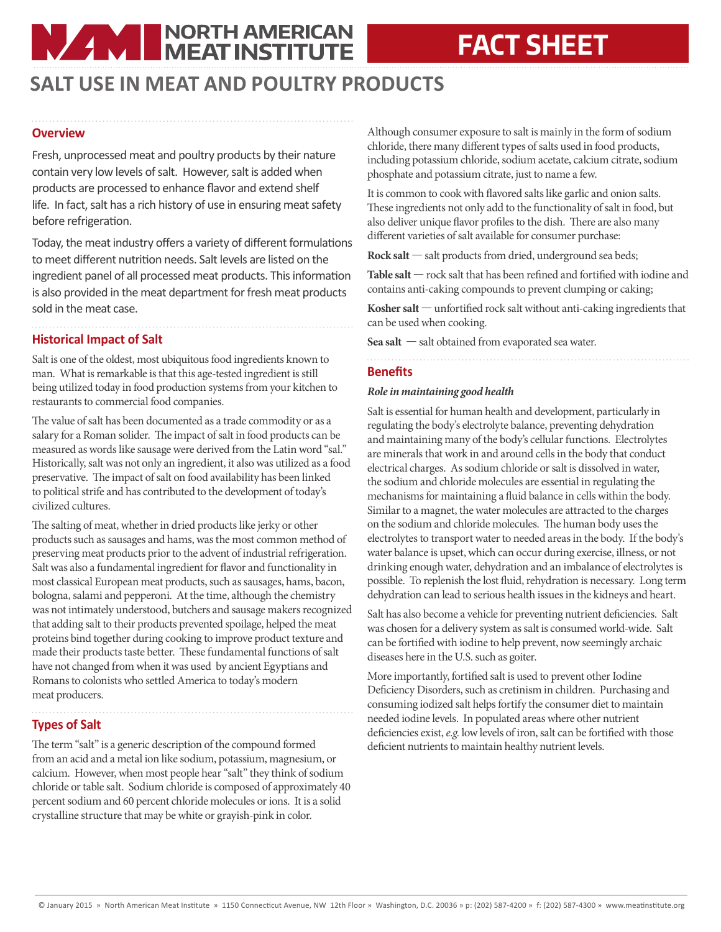# **NAME NORTH AMERICAN**

## **FACT SHEET**

### **SALT USE IN MEAT AND POULTRY PRODUCTS**

#### **Overview**

Fresh, unprocessed meat and poultry products by their nature contain very low levels of salt. However, salt is added when products are processed to enhance flavor and extend shelf life. In fact, salt has a rich history of use in ensuring meat safety before refrigeration.

Today, the meat industry offers a variety of different formulations to meet different nutrition needs. Salt levels are listed on the ingredient panel of all processed meat products. This information is also provided in the meat department for fresh meat products sold in the meat case.

#### **Historical Impact of Salt**

Salt is one of the oldest, most ubiquitous food ingredients known to man. What is remarkable is that this age-tested ingredient is still being utilized today in food production systems from your kitchen to restaurants to commercial food companies.

The value of salt has been documented as a trade commodity or as a salary for a Roman solider. The impact of salt in food products can be measured as words like sausage were derived from the Latin word "sal." Historically, salt was not only an ingredient, it also was utilized as a food preservative. The impact of salt on food availability has been linked to political strife and has contributed to the development of today's civilized cultures.

The salting of meat, whether in dried products like jerky or other products such as sausages and hams, was the most common method of preserving meat products prior to the advent of industrial refrigeration. Salt was also a fundamental ingredient for flavor and functionality in most classical European meat products, such as sausages, hams, bacon, bologna, salami and pepperoni. At the time, although the chemistry was not intimately understood, butchers and sausage makers recognized that adding salt to their products prevented spoilage, helped the meat proteins bind together during cooking to improve product texture and made their products taste better. These fundamental functions of salt have not changed from when it was used by ancient Egyptians and Romans to colonists who settled America to today's modern meat producers.

#### **Types of Salt**

The term "salt" is a generic description of the compound formed from an acid and a metal ion like sodium, potassium, magnesium, or calcium. However, when most people hear "salt" they think of sodium chloride or table salt. Sodium chloride is composed of approximately 40 percent sodium and 60 percent chloride molecules or ions. It is a solid crystalline structure that may be white or grayish-pink in color.

Although consumer exposure to salt is mainly in the form of sodium chloride, there many different types of salts used in food products, including potassium chloride, sodium acetate, calcium citrate, sodium phosphate and potassium citrate, just to name a few.

It is common to cook with flavored salts like garlic and onion salts. These ingredients not only add to the functionality of salt in food, but also deliver unique flavor profiles to the dish. There are also many different varieties of salt available for consumer purchase:

**Rock salt** — salt products from dried, underground sea beds;

**Table salt** — rock salt that has been refined and fortified with iodine and contains anti-caking compounds to prevent clumping or caking;

**Kosher salt** — unfortified rock salt without anti-caking ingredients that can be used when cooking.

**Sea salt** — salt obtained from evaporated sea water.

#### **Benefits**

#### *Role in maintaining good health*

Salt is essential for human health and development, particularly in regulating the body's electrolyte balance, preventing dehydration and maintaining many of the body's cellular functions. Electrolytes are minerals that work in and around cells in the body that conduct electrical charges. As sodium chloride or salt is dissolved in water, the sodium and chloride molecules are essential in regulating the mechanisms for maintaining a fluid balance in cells within the body. Similar to a magnet, the water molecules are attracted to the charges on the sodium and chloride molecules. The human body uses the electrolytes to transport water to needed areas in the body. If the body's water balance is upset, which can occur during exercise, illness, or not drinking enough water, dehydration and an imbalance of electrolytes is possible. To replenish the lost fluid, rehydration is necessary. Long term dehydration can lead to serious health issues in the kidneys and heart.

Salt has also become a vehicle for preventing nutrient deficiencies. Salt was chosen for a delivery system as salt is consumed world-wide. Salt can be fortified with iodine to help prevent, now seemingly archaic diseases here in the U.S. such as goiter.

More importantly, fortified salt is used to prevent other Iodine Deficiency Disorders, such as cretinism in children. Purchasing and consuming iodized salt helps fortify the consumer diet to maintain needed iodine levels. In populated areas where other nutrient deficiencies exist, *e.g.* low levels of iron, salt can be fortified with those deficient nutrients to maintain healthy nutrient levels.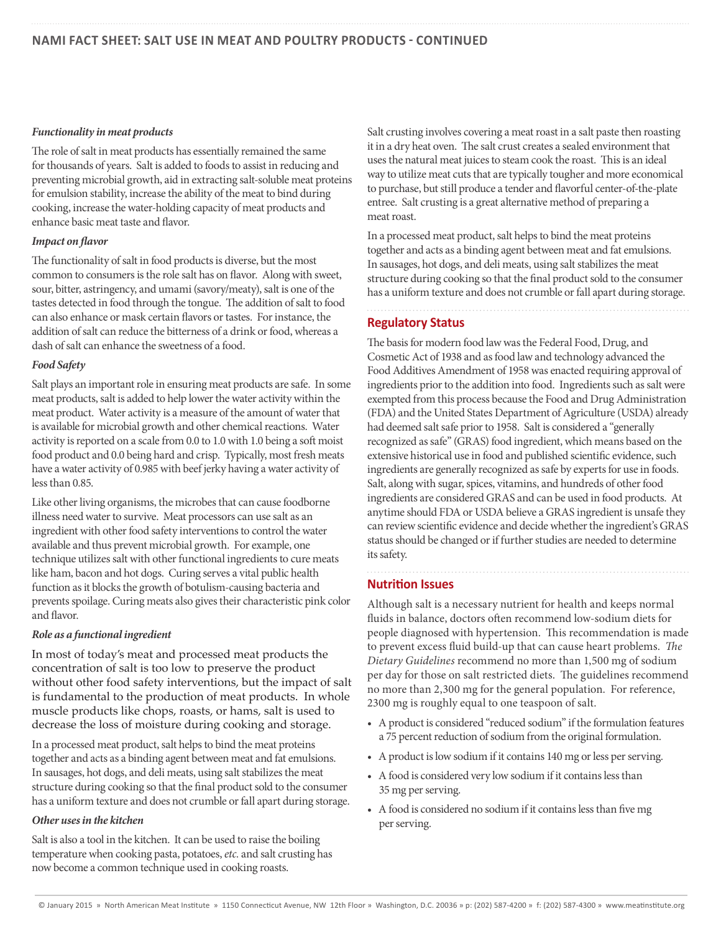#### *Functionality in meat products*

The role of salt in meat products has essentially remained the same for thousands of years. Salt is added to foods to assist in reducing and preventing microbial growth, aid in extracting salt-soluble meat proteins for emulsion stability, increase the ability of the meat to bind during cooking, increase the water-holding capacity of meat products and enhance basic meat taste and flavor.

#### *Impact on flavor*

The functionality of salt in food products is diverse, but the most common to consumers is the role salt has on flavor. Along with sweet, sour, bitter, astringency, and umami (savory/meaty), salt is one of the tastes detected in food through the tongue. The addition of salt to food can also enhance or mask certain flavors or tastes. For instance, the addition of salt can reduce the bitterness of a drink or food, whereas a dash of salt can enhance the sweetness of a food.

#### *Food Safety*

Salt plays an important role in ensuring meat products are safe. In some meat products, salt is added to help lower the water activity within the meat product. Water activity is a measure of the amount of water that is available for microbial growth and other chemical reactions. Water activity is reported on a scale from 0.0 to 1.0 with 1.0 being a soft moist food product and 0.0 being hard and crisp. Typically, most fresh meats have a water activity of 0.985 with beef jerky having a water activity of less than 0.85.

Like other living organisms, the microbes that can cause foodborne illness need water to survive. Meat processors can use salt as an ingredient with other food safety interventions to control the water available and thus prevent microbial growth. For example, one technique utilizes salt with other functional ingredients to cure meats like ham, bacon and hot dogs. Curing serves a vital public health function as it blocks the growth of botulism-causing bacteria and prevents spoilage. Curing meats also gives their characteristic pink color and flavor.

#### *Role as a functional ingredient*

In most of today's meat and processed meat products the concentration of salt is too low to preserve the product without other food safety interventions, but the impact of salt is fundamental to the production of meat products. In whole muscle products like chops, roasts, or hams, salt is used to decrease the loss of moisture during cooking and storage.

In a processed meat product, salt helps to bind the meat proteins together and acts as a binding agent between meat and fat emulsions. In sausages, hot dogs, and deli meats, using salt stabilizes the meat structure during cooking so that the final product sold to the consumer has a uniform texture and does not crumble or fall apart during storage.

#### *Other uses in the kitchen*

Salt is also a tool in the kitchen. It can be used to raise the boiling temperature when cooking pasta, potatoes, *etc.* and salt crusting has now become a common technique used in cooking roasts.

Salt crusting involves covering a meat roast in a salt paste then roasting it in a dry heat oven. The salt crust creates a sealed environment that uses the natural meat juices to steam cook the roast. This is an ideal way to utilize meat cuts that are typically tougher and more economical to purchase, but still produce a tender and flavorful center-of-the-plate entree. Salt crusting is a great alternative method of preparing a meat roast.

In a processed meat product, salt helps to bind the meat proteins together and acts as a binding agent between meat and fat emulsions. In sausages, hot dogs, and deli meats, using salt stabilizes the meat structure during cooking so that the final product sold to the consumer has a uniform texture and does not crumble or fall apart during storage.

#### **Regulatory Status**

The basis for modern food law was the Federal Food, Drug, and Cosmetic Act of 1938 and as food law and technology advanced the Food Additives Amendment of 1958 was enacted requiring approval of ingredients prior to the addition into food. Ingredients such as salt were exempted from this process because the Food and Drug Administration (FDA) and the United States Department of Agriculture (USDA) already had deemed salt safe prior to 1958. Salt is considered a "generally recognized as safe" (GRAS) food ingredient, which means based on the extensive historical use in food and published scientific evidence, such ingredients are generally recognized as safe by experts for use in foods. Salt, along with sugar, spices, vitamins, and hundreds of other food ingredients are considered GRAS and can be used in food products. At anytime should FDA or USDA believe a GRAS ingredient is unsafe they can review scientific evidence and decide whether the ingredient's GRAS status should be changed or if further studies are needed to determine its safety.

#### **Nutrition Issues**

Although salt is a necessary nutrient for health and keeps normal fluids in balance, doctors often recommend low-sodium diets for people diagnosed with hypertension. This recommendation is made to prevent excess fluid build-up that can cause heart problems. *The Dietary Guidelines* recommend no more than 1,500 mg of sodium per day for those on salt restricted diets. The guidelines recommend no more than 2,300 mg for the general population. For reference, 2300 mg is roughly equal to one teaspoon of salt.

- A product is considered "reduced sodium" if the formulation features a 75 percent reduction of sodium from the original formulation.
- A product is low sodium if it contains 140 mg or less per serving.
- A food is considered very low sodium if it contains less than 35 mg per serving.
- A food is considered no sodium if it contains less than five mg per serving.